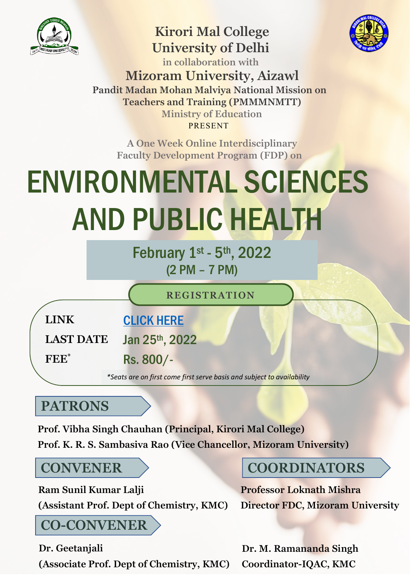

**Kirori Mal College University of Delhi in collaboration with**



 **Mizoram University, Aizawl Pandit Madan Mohan Malviya National Mission on Teachers and Training (PMMMNMTT) Ministry of Education** PRESENT

> **A One Week Online Interdisciplinary Faculty Development Program (FDP) on**

# ENVIRONMENTAL SCIENCES AND PUBLIC HEALTH

February 1st - 5th, 2022 (2 PM – 7 PM)

**REGISTRATION**

**LINK** [CLICK HERE](https://pgx82flqpcw.typeform.com/kmc-fdp-feb22)

**LAST DATE** Jan 25th, 2022 **FEE\*** Rs. 800/-

*\*Seats are on first come first serve basis and subject to availability*

# **PATRONS**

**Prof. Vibha Singh Chauhan (Principal, Kirori Mal College) Prof. K. R. S. Sambasiva Rao (Vice Chancellor, Mizoram University)**

# **CONVENER**

**Ram Sunil Kumar Lalji (Assistant Prof. Dept of Chemistry, KMC)**

# **CO-CONVENER**

**Dr. Geetanjali (Associate Prof. Dept of Chemistry, KMC)**

# **COORDINATORS**

**Professor Loknath Mishra Director FDC, Mizoram University**

**Dr. M. Ramananda Singh Coordinator-IQAC, KMC**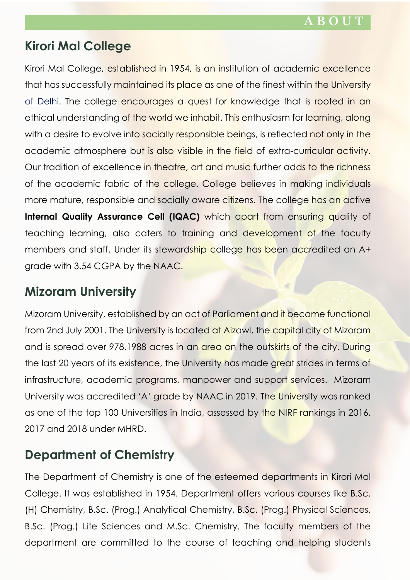## **Kirori Mal College**

Kirori Mal College, established in 1954, is an institution of academic excellence that has successfully maintained its place as one of the finest within the University of Delhi. The college encourages a quest for knowledge that is rooted in an ethical understanding of the world we inhabit. This enthusiasm for learning, along with a desire to evolve into socially responsible beings, is reflected not only in the academic atmosphere but is also visible in the field of extra-curricular activity. Our tradition of excellence in theatre, art and music further adds to the richness of the academic fabric of the college. College believes in making individuals more mature, responsible and socially aware citizens. The college has an active **Internal Quality Assurance Cell (IQAC)** which apart from ensuring quality of teaching learning, also caters to training and development of the faculty members and staff. Under its stewardship college has been accredited an A+ grade with 3.54 CGPA by the NAAC.

# **Mizoram University**

Mizoram University, established by an act of Parliament and it became functional from 2nd July 2001. The University is located at Aizawl, the capital city of Mizoram and is spread over 978.1988 acres in an area on the outskirts of the city. During the last 20 years of its existence, the University has made great strides in terms of infrastructure, academic programs, manpower and support services. Mizoram University was accredited 'A' grade by NAAC in 2019. The University was ranked as one of the top 100 Universities in India, assessed by the NIRF rankings in 2016, 2017 and 2018 under MHRD.

# **Department of Chemistry**

The Department of Chemistry is one of the esteemed departments in Kirori Mal College. It was established in 1954. Department offers various courses like B.Sc. (H) Chemistry, B.Sc. (Prog.) Analytical Chemistry, B.Sc. (Prog.) Physical Sciences, B.Sc. (Prog.) Life Sciences and M.Sc. Chemistry. The faculty members of the department are committed to the course of teaching and helping students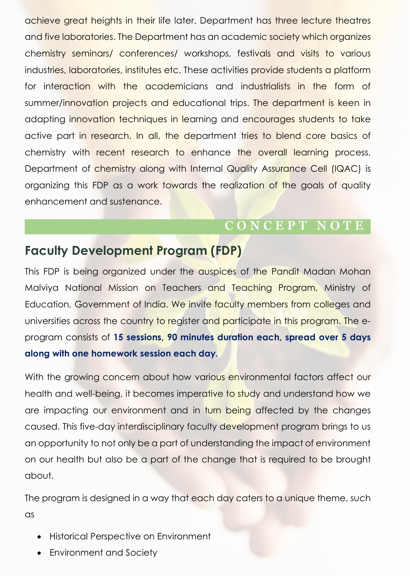achieve great heights in their life later. Department has three lecture theatres and five laboratories. The Department has an academic society which organizes chemistry seminars/ conferences/ workshops, festivals and visits to various industries, laboratories, institutes etc. These activities provide students a platform for interaction with the academicians and industrialists in the form of summer/innovation projects and educational trips. The department is keen in adapting innovation techniques in learning and encourages students to take active part in research. In all, the department tries to blend core basics of chemistry with recent research to enhance the overall learning process. Department of chemistry along with Internal Quality Assurance Cell (IQAC) is organizing this FDP as a work towards the realization of the goals of quality enhancement and sustenance.

## **CONCEPT NOTE**

## **Faculty Development Program (FDP)**

This FDP is being organized under the auspices of the Pandit Madan Mohan Malviya National Mission on Teachers and Teaching Program, Ministry of Education, Government of India. We invite faculty members from colleges and universities across the country to register and participate in this program. The eprogram consists of **15 sessions, 90 minutes duration each, spread over 5 days along with one homework session each day.**

With the growing concern about how various environmental factors affect our health and well-being, it becomes imperative to study and understand how we are impacting our environment and in turn being affected by the changes caused. This five-day interdisciplinary faculty development program brings to us an opportunity to not only be a part of understanding the impact of environment on our health but also be a part of the change that is required to be brought about.

The program is designed in a way that each day caters to a unique theme, such as

- Historical Perspective on Environment
- Environment and Society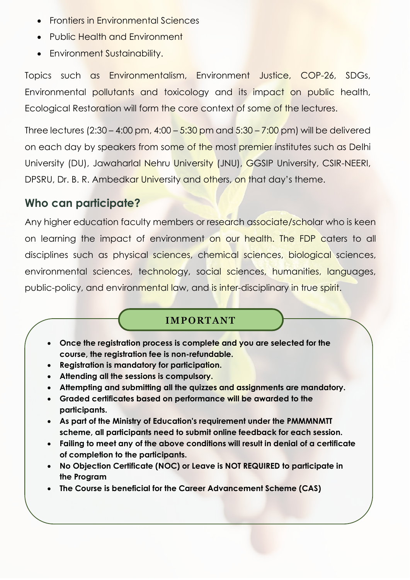- Frontiers in Environmental Sciences
- Public Health and Environment
- Environment Sustainability.

Topics such as Environmentalism, Environment Justice, COP-26, SDGs, Environmental pollutants and toxicology and its impact on public health, Ecological Restoration will form the core context of some of the lectures.

Three lectures  $(2:30 - 4:00 \text{ pm}, 4:00 - 5:30 \text{ pm}$  and  $5:30 - 7:00 \text{ pm}$ ) will be delivered on each day by speakers from some of the most premier institutes such as Delhi University (DU), Jawaharlal Nehru University (JNU), GGSIP University, CSIR-NEERI, DPSRU, Dr. B. R. Ambedkar University and others, on that day's theme.

## **Who can participate?**

Any higher education faculty members or research associate/scholar who is keen on learning the impact of environment on our health. The FDP caters to all disciplines such as physical sciences, chemical sciences, biological sciences, environmental sciences, technology, social sciences, humanities, languages, public-policy, and environmental law, and is inter-disciplinary in true spirit.

### **IMPORTANT**

- **Once the registration process is complete and you are selected for the course, the registration fee is non-refundable.**
- **Registration is mandatory for participation.**
- **Attending all the sessions is compulsory.**
- **Attempting and submitting all the quizzes and assignments are mandatory.**
- **Graded certificates based on performance will be awarded to the participants.**
- **As part of the Ministry of Education's requirement under the PMMMNMTT scheme, all participants need to submit online feedback for each session.**
- **Failing to meet any of the above conditions will result in denial of a certificate of completion to the participants.**
- **No Objection Certificate (NOC) or Leave is NOT REQUIRED to participate in the Program**
- **The Course is beneficial for the Career Advancement Scheme (CAS)**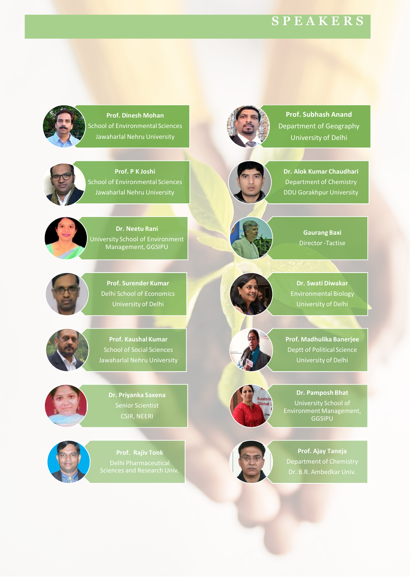## **SPEAKERS**



**Prof. Dinesh Mohan** School of Environmental Sciences Jawaharlal Nehru University



**Prof. P K Joshi** School of Environmental Sciences Jawaharlal Nehru University



**Dr. Neetu Rani** University School of Environment Management, GGSIPU



**Prof. Surender Kumar** Delhi School of Economics University of Delhi



**Prof. Kaushal Kumar** School of Social Sciences Jawaharlal Nehru University



**Dr. Priyanka Saxena** CSIR, NEERI



**Prof. Rajiv Tonk**



**Prof. Subhash Anand** Department of Geography University of Delhi



**Dr. Alok Kumar Chaudhari** Department of Chemistry DDU Gorakhpur University



**Gaurang Baxi** Director -Tactise



**Dr. Swati Diwakar** Environmental Biology University of Delhi



**Prof. Madhulika Banerjee** Deptt of Political Science University of Delhi



**Dr. Pamposh Bhat** University School of





**Prof. Ajay Taneja** Department of Chemistry Dr. B.R. Ambedkar Univ.